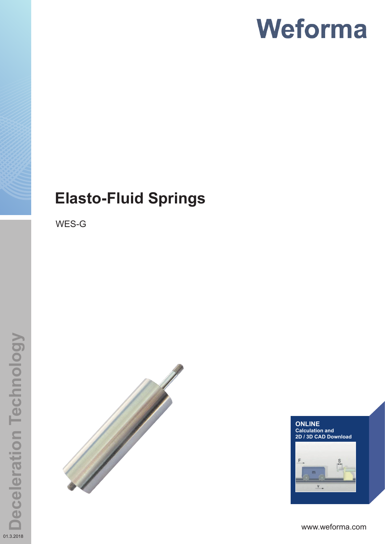# **Elasto-Fluid Springs**

WES-G





www.weforma.com

01.3.2018

**Deceleration Technology**

**Deceleration Technology**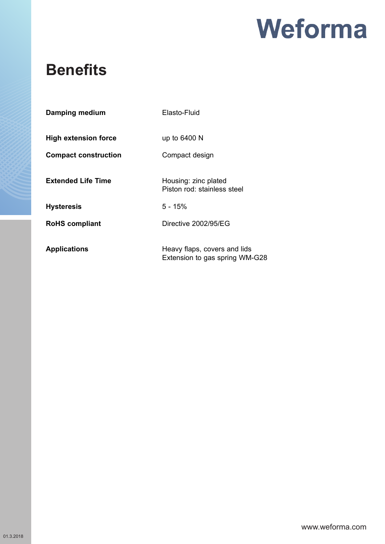## **Benefits**

| Damping medium              | Elasto-Fluid                                                   |
|-----------------------------|----------------------------------------------------------------|
| <b>High extension force</b> | up to 6400 N                                                   |
| <b>Compact construction</b> | Compact design                                                 |
| <b>Extended Life Time</b>   | Housing: zinc plated<br>Piston rod: stainless steel            |
| <b>Hysteresis</b>           | $5 - 15%$                                                      |
| <b>RoHS</b> compliant       | Directive 2002/95/EG                                           |
| <b>Applications</b>         | Heavy flaps, covers and lids<br>Extension to gas spring WM-G28 |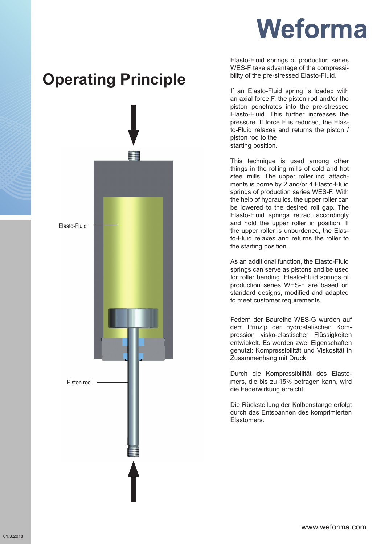

## **Operating Principle**



Elasto-Fluid springs of production series WES-F take advantage of the compressibility of the pre-stressed Elasto-Fluid.

If an Elasto-Fluid spring is loaded with an axial force F, the piston rod and/or the piston penetrates into the pre-stressed Elasto-Fluid. This further increases the pressure. If force F is reduced, the Elasto-Fluid relaxes and returns the piston / piston rod to the starting position.

This technique is used among other things in the rolling mills of cold and hot steel mills. The upper roller inc. attachments is borne by 2 and/or 4 Elasto-Fluid springs of production series WES-F. With the help of hydraulics, the upper roller can be lowered to the desired roll gap. The Elasto-Fluid springs retract accordingly and hold the upper roller in position. If the upper roller is unburdened, the Elasto-Fluid relaxes and returns the roller to the starting position.

As an additional function, the Elasto-Fluid springs can serve as pistons and be used for roller bending. Elasto-Fluid springs of production series WES-F are based on standard designs, modified and adapted to meet customer requirements.

Federn der Baureihe WES-G wurden auf dem Prinzip der hydrostatischen Kompression visko-elastischer Flüssigkeiten entwickelt. Es werden zwei Eigenschaften genutzt: Kompressibilität und Viskosität in Zusammenhang mit Druck.

Durch die Kompressibilität des Elastomers, die bis zu 15% betragen kann, wird die Federwirkung erreicht.

Die Rückstellung der Kolbenstange erfolgt durch das Entspannen des komprimierten Elastomers.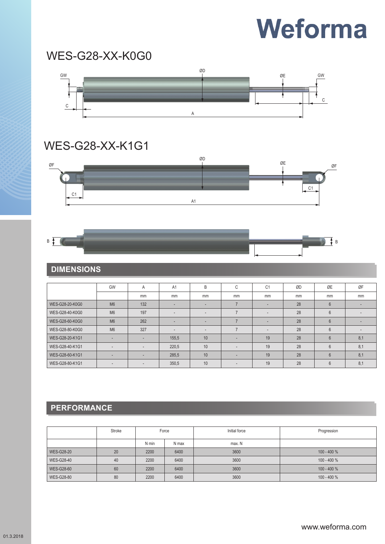## WES-G28-XX-K0G0



### WES-G28-XX-K1G1



## **DIMENSIONS**

 $\overline{B}$ 

|                 | GW             | A                        | A1                       | B  | $\sim$<br>U | C <sub>1</sub>           | ØD | ØE             | ØF                       |
|-----------------|----------------|--------------------------|--------------------------|----|-------------|--------------------------|----|----------------|--------------------------|
|                 |                | mm                       | mm                       | mm | mm          | mm                       | mm | mm             | mm                       |
| WES-G28-20-K0G0 | M <sub>6</sub> | 132                      | -                        |    |             |                          | 28 | $6\phantom{1}$ |                          |
| WES-G28-40-K0G0 | M <sub>6</sub> | 197                      | $\overline{\phantom{a}}$ |    |             | ۰                        | 28 | 6              | $\overline{\phantom{a}}$ |
| WES-G28-60-K0G0 | M <sub>6</sub> | 262                      |                          |    |             | $\overline{\phantom{a}}$ | 28 | $6\phantom{1}$ |                          |
| WES-G28-80-K0G0 | M <sub>6</sub> | 327                      | $\overline{\phantom{a}}$ |    |             | $\overline{\phantom{a}}$ | 28 | 6              |                          |
| WES-G28-20-K1G1 | -              |                          | 155,5                    | 10 |             | 19                       | 28 | $6\phantom{1}$ | 8,1                      |
| WES-G28-40-K1G1 |                | $\overline{\phantom{a}}$ | 220,5                    | 10 | ۰           | 19                       | 28 | 6              | 8,1                      |
| WES-G28-60-K1G1 |                |                          | 285,5                    | 10 | ۰           | 19                       | 28 | $6\phantom{1}$ | 8,1                      |
| WES-G28-80-K1G1 | ۰              |                          | 350,5                    | 10 | ۰           | 19                       | 28 | 6              | 8,1                      |

### **PERFORMANCE**

|                   | Stroke | Force |       | Initial force | Progression   |
|-------------------|--------|-------|-------|---------------|---------------|
|                   |        | N min | N max | max. N        |               |
| <b>WES-G28-20</b> | 20     | 2200  | 6400  | 3600          | $100 - 400 %$ |
| <b>WES-G28-40</b> | 40     | 2200  | 6400  | 3600          | $100 - 400 %$ |
| <b>WES-G28-60</b> | 60     | 2200  | 6400  | 3600          | $100 - 400 %$ |
| <b>WES-G28-80</b> | 80     | 2200  | 6400  | 3600          | $100 - 400 %$ |

 $\frac{1}{\sqrt{2}}$  B